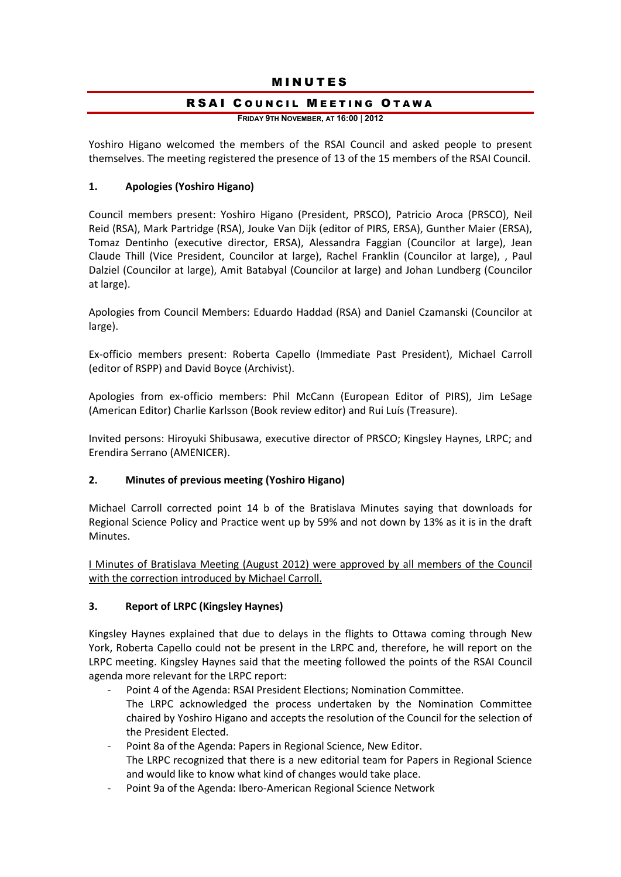## **MINUTES**

## RSAI COUNCIL MEETING OTAWA

**FRIDAY 9TH NOVEMBER, AT 16:00** | **2012**

Yoshiro Higano welcomed the members of the RSAI Council and asked people to present themselves. The meeting registered the presence of 13 of the 15 members of the RSAI Council.

## **1. Apologies (Yoshiro Higano)**

Council members present: Yoshiro Higano (President, PRSCO), Patricio Aroca (PRSCO), Neil Reid (RSA), Mark Partridge (RSA), Jouke Van Dijk (editor of PIRS, ERSA), Gunther Maier (ERSA), Tomaz Dentinho (executive director, ERSA), Alessandra Faggian (Councilor at large), Jean Claude Thill (Vice President, Councilor at large), Rachel Franklin (Councilor at large), , Paul Dalziel (Councilor at large), Amit Batabyal (Councilor at large) and Johan Lundberg (Councilor at large).

Apologies from Council Members: Eduardo Haddad (RSA) and Daniel Czamanski (Councilor at large).

Ex-officio members present: Roberta Capello (Immediate Past President), Michael Carroll (editor of RSPP) and David Boyce (Archivist).

Apologies from ex-officio members: Phil McCann (European Editor of PIRS), Jim LeSage (American Editor) Charlie Karlsson (Book review editor) and Rui Luís (Treasure).

Invited persons: Hiroyuki Shibusawa, executive director of PRSCO; Kingsley Haynes, LRPC; and Erendira Serrano (AMENICER).

## **2. Minutes of previous meeting (Yoshiro Higano)**

Michael Carroll corrected point 14 b of the Bratislava Minutes saying that downloads for Regional Science Policy and Practice went up by 59% and not down by 13% as it is in the draft Minutes.

I Minutes of Bratislava Meeting (August 2012) were approved by all members of the Council with the correction introduced by Michael Carroll.

#### **3. Report of LRPC (Kingsley Haynes)**

Kingsley Haynes explained that due to delays in the flights to Ottawa coming through New York, Roberta Capello could not be present in the LRPC and, therefore, he will report on the LRPC meeting. Kingsley Haynes said that the meeting followed the points of the RSAI Council agenda more relevant for the LRPC report:

- Point 4 of the Agenda: RSAI President Elections; Nomination Committee.
- The LRPC acknowledged the process undertaken by the Nomination Committee chaired by Yoshiro Higano and accepts the resolution of the Council for the selection of the President Elected.
- Point 8a of the Agenda: Papers in Regional Science, New Editor. The LRPC recognized that there is a new editorial team for Papers in Regional Science and would like to know what kind of changes would take place.
- Point 9a of the Agenda: Ibero-American Regional Science Network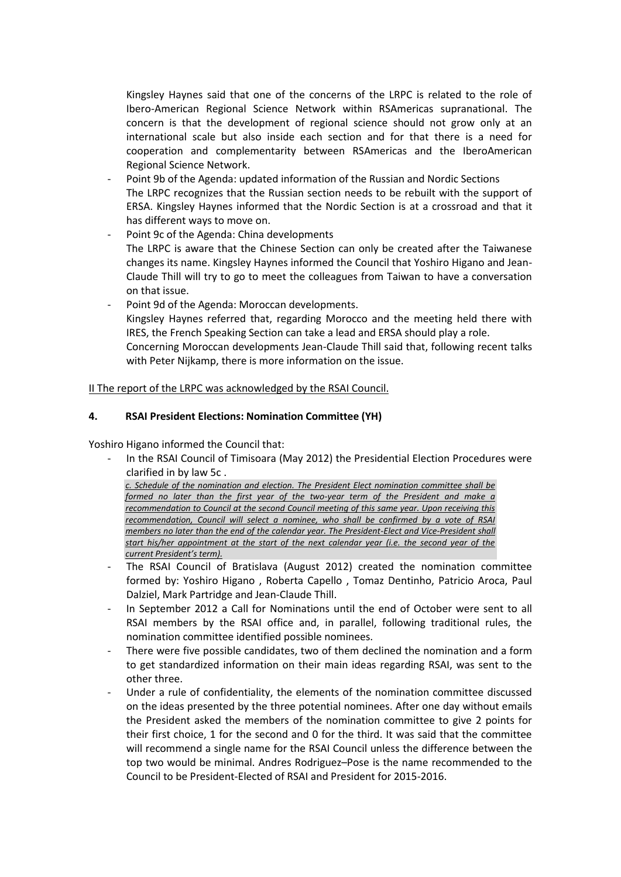Kingsley Haynes said that one of the concerns of the LRPC is related to the role of Ibero-American Regional Science Network within RSAmericas supranational. The concern is that the development of regional science should not grow only at an international scale but also inside each section and for that there is a need for cooperation and complementarity between RSAmericas and the IberoAmerican Regional Science Network.

- Point 9b of the Agenda: updated information of the Russian and Nordic Sections The LRPC recognizes that the Russian section needs to be rebuilt with the support of ERSA. Kingsley Haynes informed that the Nordic Section is at a crossroad and that it has different ways to move on.
- Point 9c of the Agenda: China developments The LRPC is aware that the Chinese Section can only be created after the Taiwanese changes its name. Kingsley Haynes informed the Council that Yoshiro Higano and Jean-Claude Thill will try to go to meet the colleagues from Taiwan to have a conversation on that issue.
- Point 9d of the Agenda: Moroccan developments. Kingsley Haynes referred that, regarding Morocco and the meeting held there with IRES, the French Speaking Section can take a lead and ERSA should play a role. Concerning Moroccan developments Jean-Claude Thill said that, following recent talks with Peter Nijkamp, there is more information on the issue.

II The report of the LRPC was acknowledged by the RSAI Council.

## **4. RSAI President Elections: Nomination Committee (YH)**

Yoshiro Higano informed the Council that:

In the RSAI Council of Timisoara (May 2012) the Presidential Election Procedures were clarified in by law 5c .

*c. Schedule of the nomination and election. The President Elect nomination committee shall be formed no later than the first year of the two-year term of the President and make a recommendation to Council at the second Council meeting of this same year. Upon receiving this recommendation, Council will select a nominee, who shall be confirmed by a vote of RSAI members no later than the end of the calendar year. The President-Elect and Vice-President shall start his/her appointment at the start of the next calendar year (i.e. the second year of the current President's term).*

- The RSAI Council of Bratislava (August 2012) created the nomination committee formed by: Yoshiro Higano , Roberta Capello , Tomaz Dentinho, Patricio Aroca, Paul Dalziel, Mark Partridge and Jean-Claude Thill.
- In September 2012 a Call for Nominations until the end of October were sent to all RSAI members by the RSAI office and, in parallel, following traditional rules, the nomination committee identified possible nominees.
- There were five possible candidates, two of them declined the nomination and a form to get standardized information on their main ideas regarding RSAI, was sent to the other three.
- Under a rule of confidentiality, the elements of the nomination committee discussed on the ideas presented by the three potential nominees. After one day without emails the President asked the members of the nomination committee to give 2 points for their first choice, 1 for the second and 0 for the third. It was said that the committee will recommend a single name for the RSAI Council unless the difference between the top two would be minimal. Andres Rodriguez–Pose is the name recommended to the Council to be President-Elected of RSAI and President for 2015-2016.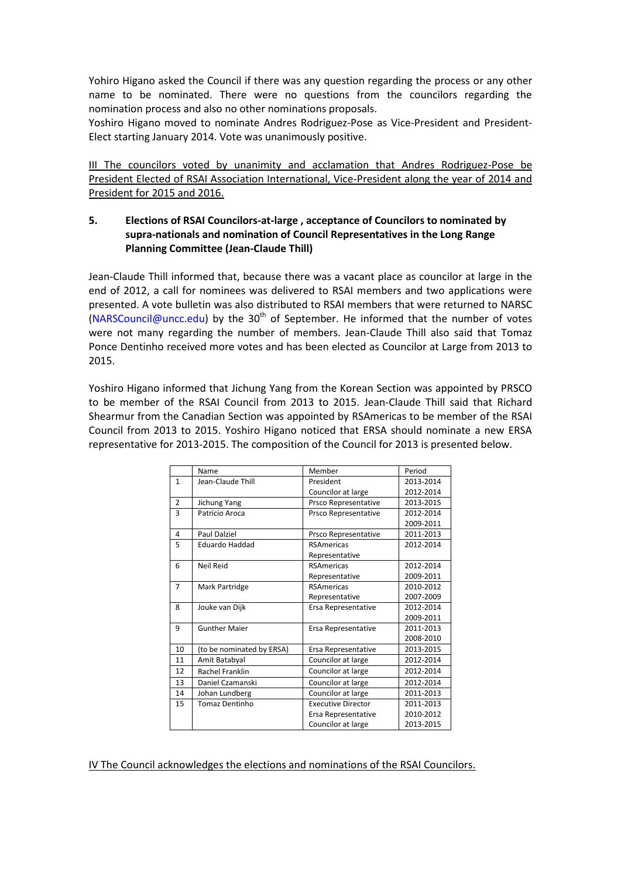Yohiro Higano asked the Council if there was any question regarding the process or any other name to be nominated. There were no questions from the councilors regarding the nomination process and also no other nominations proposals.

Yoshiro Higano moved to nominate Andres Rodriguez-Pose as Vice-President and President-Elect starting January 2014. Vote was unanimously positive.

III The councilors voted by unanimity and acclamation that Andres Rodriguez-Pose be President Elected of RSAI Association International, Vice-President along the year of 2014 and President for 2015 and 2016.

## **5. Elections of RSAI Councilors-at-large , acceptance of Councilors to nominated by supra-nationals and nomination of Council Representatives in the Long Range Planning Committee (Jean-Claude Thill)**

Jean-Claude Thill informed that, because there was a vacant place as councilor at large in the end of 2012, a call for nominees was delivered to RSAI members and two applications were presented. A vote bulletin was also distributed to RSAI members that were returned to NARSC [\(NARSCouncil@uncc.edu\)](mailto:NARSCouncil@uncc.edu) by the 30<sup>th</sup> of September. He informed that the number of votes were not many regarding the number of members. Jean-Claude Thill also said that Tomaz Ponce Dentinho received more votes and has been elected as Councilor at Large from 2013 to 2015.

Yoshiro Higano informed that Jichung Yang from the Korean Section was appointed by PRSCO to be member of the RSAI Council from 2013 to 2015. Jean-Claude Thill said that Richard Shearmur from the Canadian Section was appointed by RSAmericas to be member of the RSAI Council from 2013 to 2015. Yoshiro Higano noticed that ERSA should nominate a new ERSA representative for 2013-2015. The composition of the Council for 2013 is presented below.

|                | Name                      | Member                    | Period    |
|----------------|---------------------------|---------------------------|-----------|
| 1              | Jean-Claude Thill         | President                 | 2013-2014 |
|                |                           | Councilor at large        | 2012-2014 |
| $\overline{2}$ | Jichung Yang              | Prsco Representative      | 2013-2015 |
| 3              | Patrício Aroca            | Prsco Representative      | 2012-2014 |
|                |                           |                           | 2009-2011 |
| 4              | <b>Paul Dalziel</b>       | Prsco Representative      | 2011-2013 |
| 5              | Eduardo Haddad            | <b>RSAmericas</b>         | 2012-2014 |
|                |                           | Representative            |           |
| 6              | Neil Reid                 | <b>RSAmericas</b>         | 2012-2014 |
|                |                           | Representative            | 2009-2011 |
| $\overline{7}$ | Mark Partridge            | <b>RSAmericas</b>         | 2010-2012 |
|                |                           | Representative            | 2007-2009 |
| 8              | Jouke van Dijk            | Ersa Representative       | 2012-2014 |
|                |                           |                           | 2009-2011 |
| 9              | <b>Gunther Maier</b>      | Ersa Representative       | 2011-2013 |
|                |                           |                           | 2008-2010 |
| 10             | (to be nominated by ERSA) | Ersa Representative       | 2013-2015 |
| 11             | Amit Batabyal             | Councilor at large        | 2012-2014 |
| 12             | <b>Rachel Franklin</b>    | Councilor at large        | 2012-2014 |
| 13             | Daniel Czamanski          | Councilor at large        | 2012-2014 |
| 14             | Johan Lundberg            | Councilor at large        | 2011-2013 |
| 15             | <b>Tomaz Dentinho</b>     | <b>Executive Director</b> | 2011-2013 |
|                |                           | Ersa Representative       | 2010-2012 |
|                |                           | Councilor at large        | 2013-2015 |

## IV The Council acknowledges the elections and nominations of the RSAI Councilors.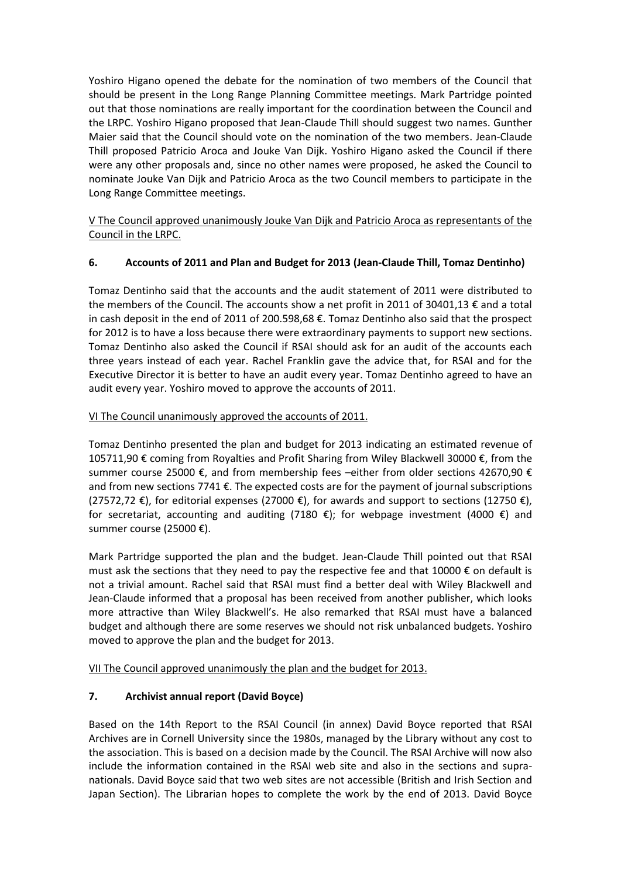Yoshiro Higano opened the debate for the nomination of two members of the Council that should be present in the Long Range Planning Committee meetings. Mark Partridge pointed out that those nominations are really important for the coordination between the Council and the LRPC. Yoshiro Higano proposed that Jean-Claude Thill should suggest two names. Gunther Maier said that the Council should vote on the nomination of the two members. Jean-Claude Thill proposed Patricio Aroca and Jouke Van Dijk. Yoshiro Higano asked the Council if there were any other proposals and, since no other names were proposed, he asked the Council to nominate Jouke Van Dijk and Patricio Aroca as the two Council members to participate in the Long Range Committee meetings.

V The Council approved unanimously Jouke Van Dijk and Patricio Aroca as representants of the Council in the LRPC.

## **6. Accounts of 2011 and Plan and Budget for 2013 (Jean-Claude Thill, Tomaz Dentinho)**

Tomaz Dentinho said that the accounts and the audit statement of 2011 were distributed to the members of the Council. The accounts show a net profit in 2011 of 30401,13 € and a total in cash deposit in the end of 2011 of 200.598,68 €. Tomaz Dentinho also said that the prospect for 2012 is to have a loss because there were extraordinary payments to support new sections. Tomaz Dentinho also asked the Council if RSAI should ask for an audit of the accounts each three years instead of each year. Rachel Franklin gave the advice that, for RSAI and for the Executive Director it is better to have an audit every year. Tomaz Dentinho agreed to have an audit every year. Yoshiro moved to approve the accounts of 2011.

## VI The Council unanimously approved the accounts of 2011.

Tomaz Dentinho presented the plan and budget for 2013 indicating an estimated revenue of 105711,90 € coming from Royalties and Profit Sharing from Wiley Blackwell 30000 €, from the summer course 25000  $\epsilon$ , and from membership fees –either from older sections 42670,90  $\epsilon$ and from new sections 7741 €. The expected costs are for the payment of journal subscriptions  $(27572,72 \t\epsilon)$ , for editorial expenses (27000 €), for awards and support to sections (12750 €), for secretariat, accounting and auditing (7180  $\epsilon$ ); for webpage investment (4000  $\epsilon$ ) and summer course (25000 €).

Mark Partridge supported the plan and the budget. Jean-Claude Thill pointed out that RSAI must ask the sections that they need to pay the respective fee and that 10000  $\epsilon$  on default is not a trivial amount. Rachel said that RSAI must find a better deal with Wiley Blackwell and Jean-Claude informed that a proposal has been received from another publisher, which looks more attractive than Wiley Blackwell's. He also remarked that RSAI must have a balanced budget and although there are some reserves we should not risk unbalanced budgets. Yoshiro moved to approve the plan and the budget for 2013.

VII The Council approved unanimously the plan and the budget for 2013.

## **7. Archivist annual report (David Boyce)**

Based on the 14th Report to the RSAI Council (in annex) David Boyce reported that RSAI Archives are in Cornell University since the 1980s, managed by the Library without any cost to the association. This is based on a decision made by the Council. The RSAI Archive will now also include the information contained in the RSAI web site and also in the sections and supranationals. David Boyce said that two web sites are not accessible (British and Irish Section and Japan Section). The Librarian hopes to complete the work by the end of 2013. David Boyce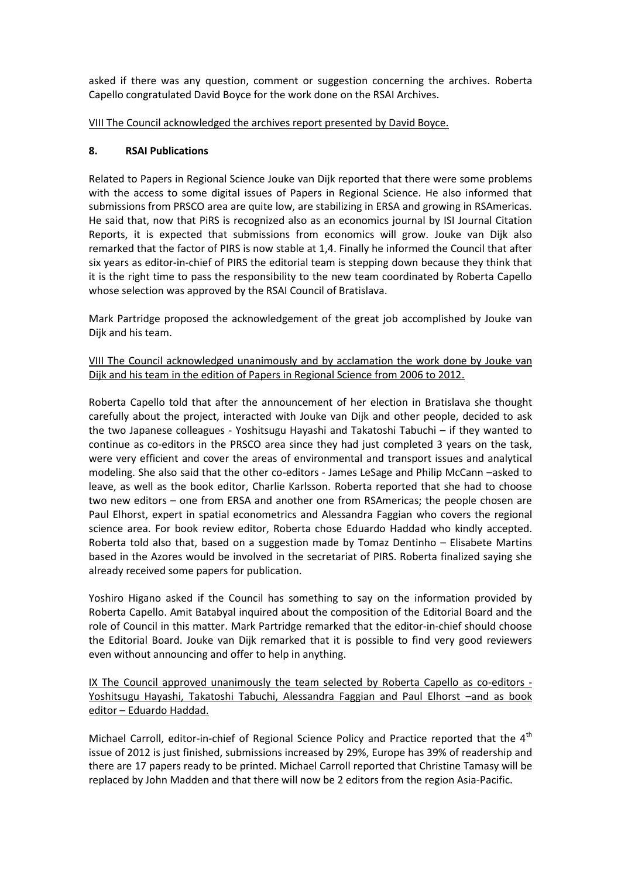asked if there was any question, comment or suggestion concerning the archives. Roberta Capello congratulated David Boyce for the work done on the RSAI Archives.

VIII The Council acknowledged the archives report presented by David Boyce.

### **8. RSAI Publications**

Related to Papers in Regional Science Jouke van Dijk reported that there were some problems with the access to some digital issues of Papers in Regional Science. He also informed that submissions from PRSCO area are quite low, are stabilizing in ERSA and growing in RSAmericas. He said that, now that PiRS is recognized also as an economics journal by ISI Journal Citation Reports, it is expected that submissions from economics will grow. Jouke van Dijk also remarked that the factor of PIRS is now stable at 1,4. Finally he informed the Council that after six years as editor-in-chief of PIRS the editorial team is stepping down because they think that it is the right time to pass the responsibility to the new team coordinated by Roberta Capello whose selection was approved by the RSAI Council of Bratislava.

Mark Partridge proposed the acknowledgement of the great job accomplished by Jouke van Dijk and his team.

## VIII The Council acknowledged unanimously and by acclamation the work done by Jouke van Dijk and his team in the edition of Papers in Regional Science from 2006 to 2012.

Roberta Capello told that after the announcement of her election in Bratislava she thought carefully about the project, interacted with Jouke van Dijk and other people, decided to ask the two Japanese colleagues - Yoshitsugu Hayashi and Takatoshi Tabuchi – if they wanted to continue as co-editors in the PRSCO area since they had just completed 3 years on the task, were very efficient and cover the areas of environmental and transport issues and analytical modeling. She also said that the other co-editors - James LeSage and Philip McCann –asked to leave, as well as the book editor, Charlie Karlsson. Roberta reported that she had to choose two new editors – one from ERSA and another one from RSAmericas; the people chosen are Paul Elhorst, expert in spatial econometrics and Alessandra Faggian who covers the regional science area. For book review editor, Roberta chose Eduardo Haddad who kindly accepted. Roberta told also that, based on a suggestion made by Tomaz Dentinho – Elisabete Martins based in the Azores would be involved in the secretariat of PIRS. Roberta finalized saying she already received some papers for publication.

Yoshiro Higano asked if the Council has something to say on the information provided by Roberta Capello. Amit Batabyal inquired about the composition of the Editorial Board and the role of Council in this matter. Mark Partridge remarked that the editor-in-chief should choose the Editorial Board. Jouke van Dijk remarked that it is possible to find very good reviewers even without announcing and offer to help in anything.

IX The Council approved unanimously the team selected by Roberta Capello as co-editors - Yoshitsugu Hayashi, Takatoshi Tabuchi, Alessandra Faggian and Paul Elhorst –and as book editor – Eduardo Haddad.

Michael Carroll, editor-in-chief of Regional Science Policy and Practice reported that the  $4<sup>th</sup>$ issue of 2012 is just finished, submissions increased by 29%, Europe has 39% of readership and there are 17 papers ready to be printed. Michael Carroll reported that Christine Tamasy will be replaced by John Madden and that there will now be 2 editors from the region Asia-Pacific.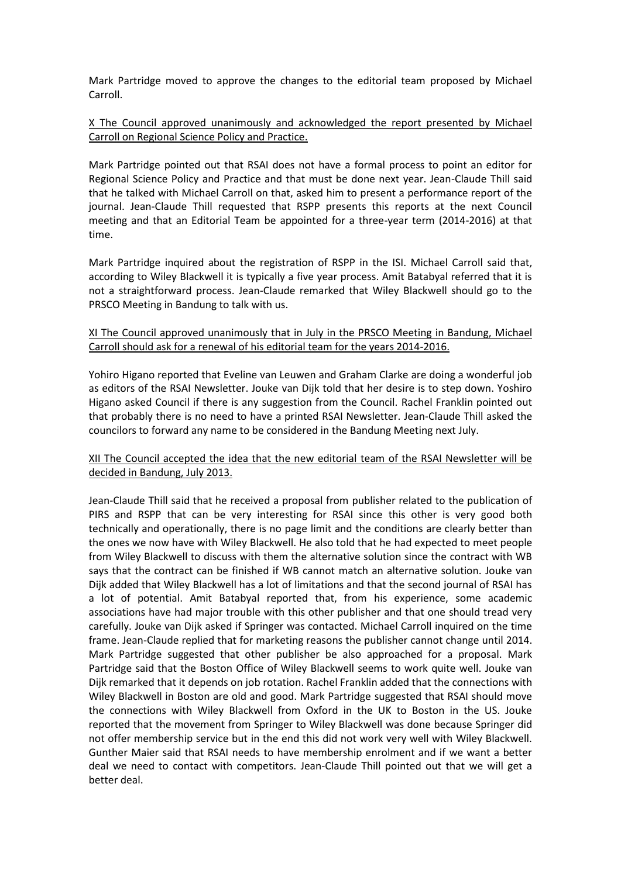Mark Partridge moved to approve the changes to the editorial team proposed by Michael Carroll.

### X The Council approved unanimously and acknowledged the report presented by Michael Carroll on Regional Science Policy and Practice.

Mark Partridge pointed out that RSAI does not have a formal process to point an editor for Regional Science Policy and Practice and that must be done next year. Jean-Claude Thill said that he talked with Michael Carroll on that, asked him to present a performance report of the journal. Jean-Claude Thill requested that RSPP presents this reports at the next Council meeting and that an Editorial Team be appointed for a three-year term (2014-2016) at that time.

Mark Partridge inquired about the registration of RSPP in the ISI. Michael Carroll said that, according to Wiley Blackwell it is typically a five year process. Amit Batabyal referred that it is not a straightforward process. Jean-Claude remarked that Wiley Blackwell should go to the PRSCO Meeting in Bandung to talk with us.

#### XI The Council approved unanimously that in July in the PRSCO Meeting in Bandung, Michael Carroll should ask for a renewal of his editorial team for the years 2014-2016.

Yohiro Higano reported that Eveline van Leuwen and Graham Clarke are doing a wonderful job as editors of the RSAI Newsletter. Jouke van Dijk told that her desire is to step down. Yoshiro Higano asked Council if there is any suggestion from the Council. Rachel Franklin pointed out that probably there is no need to have a printed RSAI Newsletter. Jean-Claude Thill asked the councilors to forward any name to be considered in the Bandung Meeting next July.

#### XII The Council accepted the idea that the new editorial team of the RSAI Newsletter will be decided in Bandung, July 2013.

Jean-Claude Thill said that he received a proposal from publisher related to the publication of PIRS and RSPP that can be very interesting for RSAI since this other is very good both technically and operationally, there is no page limit and the conditions are clearly better than the ones we now have with Wiley Blackwell. He also told that he had expected to meet people from Wiley Blackwell to discuss with them the alternative solution since the contract with WB says that the contract can be finished if WB cannot match an alternative solution. Jouke van Dijk added that Wiley Blackwell has a lot of limitations and that the second journal of RSAI has a lot of potential. Amit Batabyal reported that, from his experience, some academic associations have had major trouble with this other publisher and that one should tread very carefully. Jouke van Dijk asked if Springer was contacted. Michael Carroll inquired on the time frame. Jean-Claude replied that for marketing reasons the publisher cannot change until 2014. Mark Partridge suggested that other publisher be also approached for a proposal. Mark Partridge said that the Boston Office of Wiley Blackwell seems to work quite well. Jouke van Dijk remarked that it depends on job rotation. Rachel Franklin added that the connections with Wiley Blackwell in Boston are old and good. Mark Partridge suggested that RSAI should move the connections with Wiley Blackwell from Oxford in the UK to Boston in the US. Jouke reported that the movement from Springer to Wiley Blackwell was done because Springer did not offer membership service but in the end this did not work very well with Wiley Blackwell. Gunther Maier said that RSAI needs to have membership enrolment and if we want a better deal we need to contact with competitors. Jean-Claude Thill pointed out that we will get a better deal.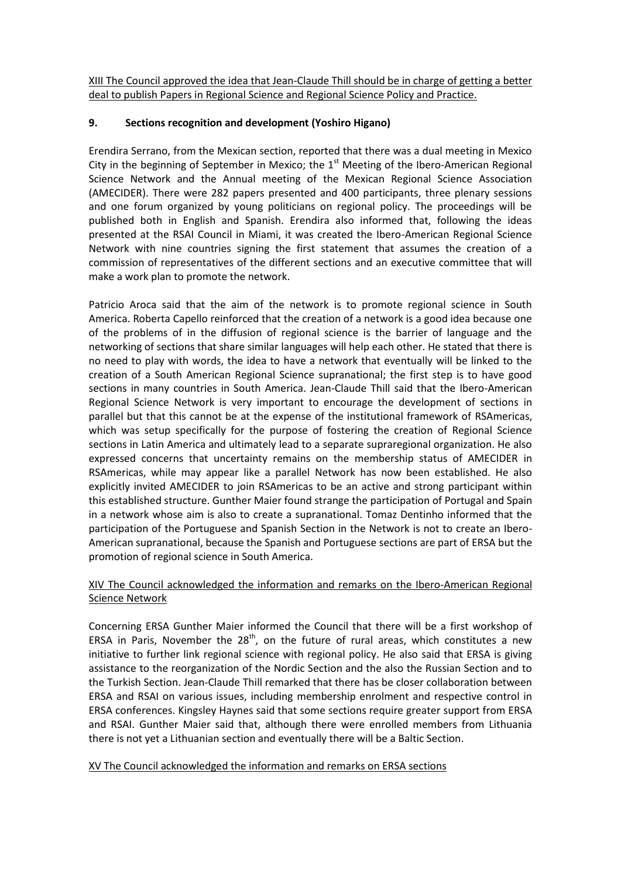XIII The Council approved the idea that Jean-Claude Thill should be in charge of getting a better deal to publish Papers in Regional Science and Regional Science Policy and Practice.

## **9. Sections recognition and development (Yoshiro Higano)**

Erendira Serrano, from the Mexican section, reported that there was a dual meeting in Mexico City in the beginning of September in Mexico; the  $1<sup>st</sup>$  Meeting of the Ibero-American Regional Science Network and the Annual meeting of the Mexican Regional Science Association (AMECIDER). There were 282 papers presented and 400 participants, three plenary sessions and one forum organized by young politicians on regional policy. The proceedings will be published both in English and Spanish. Erendira also informed that, following the ideas presented at the RSAI Council in Miami, it was created the Ibero-American Regional Science Network with nine countries signing the first statement that assumes the creation of a commission of representatives of the different sections and an executive committee that will make a work plan to promote the network.

Patricio Aroca said that the aim of the network is to promote regional science in South America. Roberta Capello reinforced that the creation of a network is a good idea because one of the problems of in the diffusion of regional science is the barrier of language and the networking of sections that share similar languages will help each other. He stated that there is no need to play with words, the idea to have a network that eventually will be linked to the creation of a South American Regional Science supranational; the first step is to have good sections in many countries in South America. Jean-Claude Thill said that the Ibero-American Regional Science Network is very important to encourage the development of sections in parallel but that this cannot be at the expense of the institutional framework of RSAmericas, which was setup specifically for the purpose of fostering the creation of Regional Science sections in Latin America and ultimately lead to a separate supraregional organization. He also expressed concerns that uncertainty remains on the membership status of AMECIDER in RSAmericas, while may appear like a parallel Network has now been established. He also explicitly invited AMECIDER to join RSAmericas to be an active and strong participant within this established structure. Gunther Maier found strange the participation of Portugal and Spain in a network whose aim is also to create a supranational. Tomaz Dentinho informed that the participation of the Portuguese and Spanish Section in the Network is not to create an Ibero-American supranational, because the Spanish and Portuguese sections are part of ERSA but the promotion of regional science in South America.

## XIV The Council acknowledged the information and remarks on the Ibero-American Regional Science Network

Concerning ERSA Gunther Maier informed the Council that there will be a first workshop of ERSA in Paris, November the  $28<sup>th</sup>$ , on the future of rural areas, which constitutes a new initiative to further link regional science with regional policy. He also said that ERSA is giving assistance to the reorganization of the Nordic Section and the also the Russian Section and to the Turkish Section. Jean-Claude Thill remarked that there has be closer collaboration between ERSA and RSAI on various issues, including membership enrolment and respective control in ERSA conferences. Kingsley Haynes said that some sections require greater support from ERSA and RSAI. Gunther Maier said that, although there were enrolled members from Lithuania there is not yet a Lithuanian section and eventually there will be a Baltic Section.

## XV The Council acknowledged the information and remarks on ERSA sections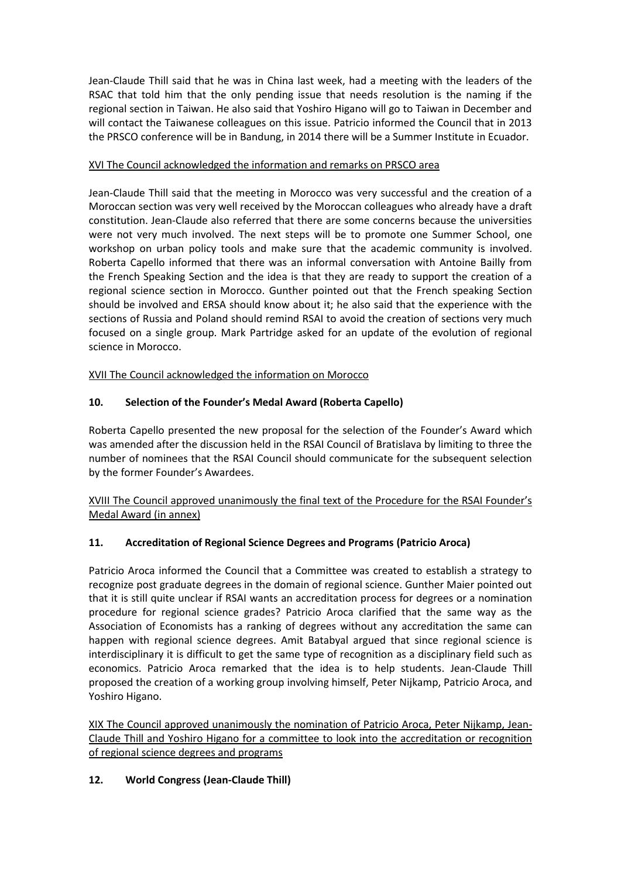Jean-Claude Thill said that he was in China last week, had a meeting with the leaders of the RSAC that told him that the only pending issue that needs resolution is the naming if the regional section in Taiwan. He also said that Yoshiro Higano will go to Taiwan in December and will contact the Taiwanese colleagues on this issue. Patricio informed the Council that in 2013 the PRSCO conference will be in Bandung, in 2014 there will be a Summer Institute in Ecuador.

## XVI The Council acknowledged the information and remarks on PRSCO area

Jean-Claude Thill said that the meeting in Morocco was very successful and the creation of a Moroccan section was very well received by the Moroccan colleagues who already have a draft constitution. Jean-Claude also referred that there are some concerns because the universities were not very much involved. The next steps will be to promote one Summer School, one workshop on urban policy tools and make sure that the academic community is involved. Roberta Capello informed that there was an informal conversation with Antoine Bailly from the French Speaking Section and the idea is that they are ready to support the creation of a regional science section in Morocco. Gunther pointed out that the French speaking Section should be involved and ERSA should know about it; he also said that the experience with the sections of Russia and Poland should remind RSAI to avoid the creation of sections very much focused on a single group. Mark Partridge asked for an update of the evolution of regional science in Morocco.

XVII The Council acknowledged the information on Morocco

# **10. Selection of the Founder's Medal Award (Roberta Capello)**

Roberta Capello presented the new proposal for the selection of the Founder's Award which was amended after the discussion held in the RSAI Council of Bratislava by limiting to three the number of nominees that the RSAI Council should communicate for the subsequent selection by the former Founder's Awardees.

XVIII The Council approved unanimously the final text of the Procedure for the RSAI Founder's Medal Award (in annex)

# **11. Accreditation of Regional Science Degrees and Programs (Patricio Aroca)**

Patricio Aroca informed the Council that a Committee was created to establish a strategy to recognize post graduate degrees in the domain of regional science. Gunther Maier pointed out that it is still quite unclear if RSAI wants an accreditation process for degrees or a nomination procedure for regional science grades? Patricio Aroca clarified that the same way as the Association of Economists has a ranking of degrees without any accreditation the same can happen with regional science degrees. Amit Batabyal argued that since regional science is interdisciplinary it is difficult to get the same type of recognition as a disciplinary field such as economics. Patricio Aroca remarked that the idea is to help students. Jean-Claude Thill proposed the creation of a working group involving himself, Peter Nijkamp, Patricio Aroca, and Yoshiro Higano.

XIX The Council approved unanimously the nomination of Patricio Aroca, Peter Nijkamp, Jean-Claude Thill and Yoshiro Higano for a committee to look into the accreditation or recognition of regional science degrees and programs

# **12. World Congress (Jean-Claude Thill)**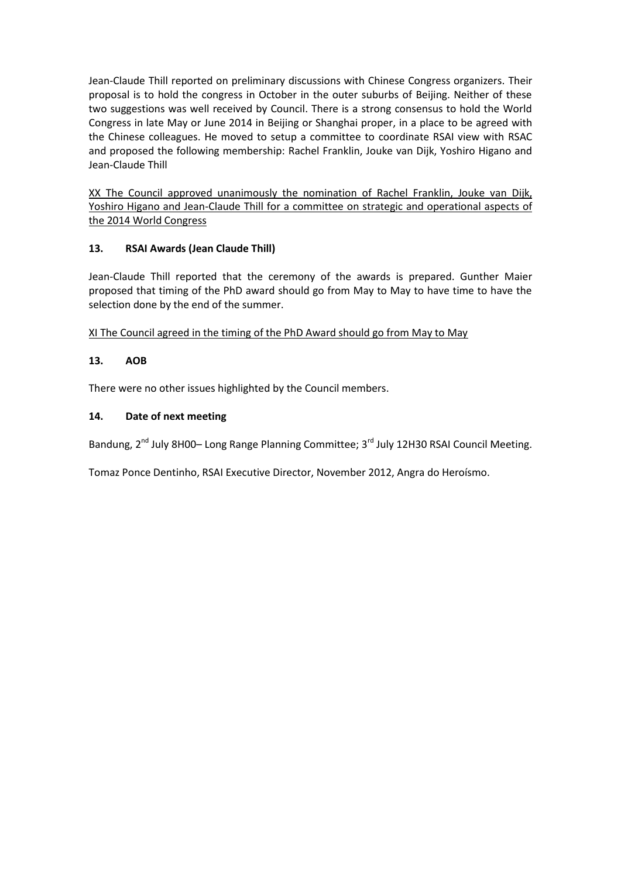Jean-Claude Thill reported on preliminary discussions with Chinese Congress organizers. Their proposal is to hold the congress in October in the outer suburbs of Beijing. Neither of these two suggestions was well received by Council. There is a strong consensus to hold the World Congress in late May or June 2014 in Beijing or Shanghai proper, in a place to be agreed with the Chinese colleagues. He moved to setup a committee to coordinate RSAI view with RSAC and proposed the following membership: Rachel Franklin, Jouke van Dijk, Yoshiro Higano and Jean-Claude Thill

XX The Council approved unanimously the nomination of Rachel Franklin, Jouke van Dijk, Yoshiro Higano and Jean-Claude Thill for a committee on strategic and operational aspects of the 2014 World Congress

## **13. RSAI Awards (Jean Claude Thill)**

Jean-Claude Thill reported that the ceremony of the awards is prepared. Gunther Maier proposed that timing of the PhD award should go from May to May to have time to have the selection done by the end of the summer.

XI The Council agreed in the timing of the PhD Award should go from May to May

## **13. AOB**

There were no other issues highlighted by the Council members.

#### **14. Date of next meeting**

Bandung, 2<sup>nd</sup> July 8H00– Long Range Planning Committee; 3<sup>rd</sup> July 12H30 RSAI Council Meeting.

Tomaz Ponce Dentinho, RSAI Executive Director, November 2012, Angra do Heroísmo.